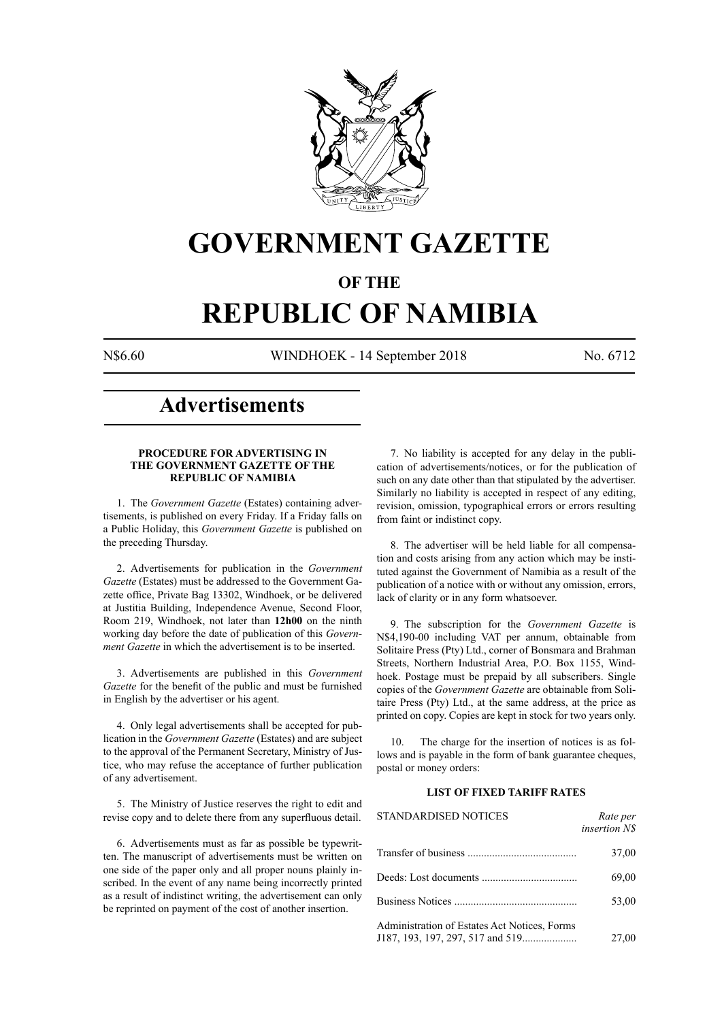

## **GOVERNMENT GAZETTE**

### **OF THE**

# **REPUBLIC OF NAMIBIA**

N\$6.60 WINDHOEK - 14 September 2018 No. 6712

### **Advertisements**

#### **PROCEDURE FOR ADVERTISING IN THE GOVERNMENT GAZETTE OF THE REPUBLIC OF NAMIBIA**

1. The *Government Gazette* (Estates) containing advertisements, is published on every Friday. If a Friday falls on a Public Holiday, this *Government Gazette* is published on the preceding Thursday.

2. Advertisements for publication in the *Government Gazette* (Estates) must be addressed to the Government Gazette office, Private Bag 13302, Windhoek, or be delivered at Justitia Building, Independence Avenue, Second Floor, Room 219, Windhoek, not later than **12h00** on the ninth working day before the date of publication of this *Government Gazette* in which the advertisement is to be inserted.

3. Advertisements are published in this *Government Gazette* for the benefit of the public and must be furnished in English by the advertiser or his agent.

4. Only legal advertisements shall be accepted for publication in the *Government Gazette* (Estates) and are subject to the approval of the Permanent Secretary, Ministry of Justice, who may refuse the acceptance of further publication of any advertisement.

5. The Ministry of Justice reserves the right to edit and revise copy and to delete there from any superfluous detail.

6. Advertisements must as far as possible be typewritten. The manuscript of advertisements must be written on one side of the paper only and all proper nouns plainly inscribed. In the event of any name being incorrectly printed as a result of indistinct writing, the advertisement can only be reprinted on payment of the cost of another insertion.

7. No liability is accepted for any delay in the publication of advertisements/notices, or for the publication of such on any date other than that stipulated by the advertiser. Similarly no liability is accepted in respect of any editing, revision, omission, typographical errors or errors resulting from faint or indistinct copy.

8. The advertiser will be held liable for all compensation and costs arising from any action which may be instituted against the Government of Namibia as a result of the publication of a notice with or without any omission, errors, lack of clarity or in any form whatsoever.

9. The subscription for the *Government Gazette* is N\$4,190-00 including VAT per annum, obtainable from Solitaire Press (Pty) Ltd., corner of Bonsmara and Brahman Streets, Northern Industrial Area, P.O. Box 1155, Windhoek. Postage must be prepaid by all subscribers. Single copies of the *Government Gazette* are obtainable from Solitaire Press (Pty) Ltd., at the same address, at the price as printed on copy. Copies are kept in stock for two years only.

10. The charge for the insertion of notices is as follows and is payable in the form of bank guarantee cheques, postal or money orders:

#### **LIST OF FIXED TARIFF RATES**

| <b>STANDARDISED NOTICES</b>                  | Rate per<br><i>insertion NS</i> |
|----------------------------------------------|---------------------------------|
|                                              | 37,00                           |
|                                              | 69,00                           |
|                                              | 53,00                           |
| Administration of Estates Act Notices, Forms | 27,00                           |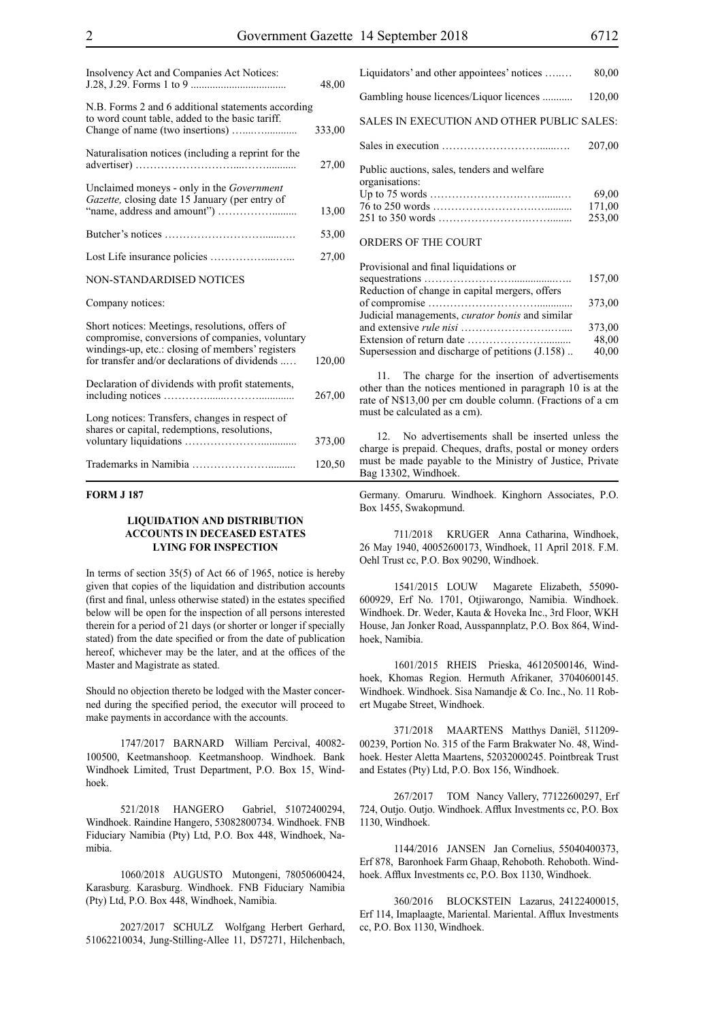| Insolvency Act and Companies Act Notices:                                                                                                                                                               | 48,00  |
|---------------------------------------------------------------------------------------------------------------------------------------------------------------------------------------------------------|--------|
| N.B. Forms 2 and 6 additional statements according<br>to word count table, added to the basic tariff.                                                                                                   | 333,00 |
| Naturalisation notices (including a reprint for the                                                                                                                                                     | 27,00  |
| Unclaimed moneys - only in the Government<br>Gazette, closing date 15 January (per entry of                                                                                                             | 13,00  |
|                                                                                                                                                                                                         | 53,00  |
|                                                                                                                                                                                                         | 27,00  |
| <b>NON-STANDARDISED NOTICES</b>                                                                                                                                                                         |        |
| Company notices:                                                                                                                                                                                        |        |
| Short notices: Meetings, resolutions, offers of<br>compromise, conversions of companies, voluntary<br>windings-up, etc.: closing of members' registers<br>for transfer and/or declarations of dividends | 120,00 |
| Declaration of dividends with profit statements,                                                                                                                                                        | 267,00 |
| Long notices: Transfers, changes in respect of<br>shares or capital, redemptions, resolutions,                                                                                                          | 373,00 |
|                                                                                                                                                                                                         | 120,50 |

#### **FORM J 187**

#### **LIQUIDATION AND DISTRIBUTION ACCOUNTS IN DECEASED ESTATES LYING FOR INSPECTION**

In terms of section 35(5) of Act 66 of 1965, notice is hereby given that copies of the liquidation and distribution accounts (first and final, unless otherwise stated) in the estates specified below will be open for the inspection of all persons interested therein for a period of 21 days (or shorter or longer if specially stated) from the date specified or from the date of publication hereof, whichever may be the later, and at the offices of the Master and Magistrate as stated.

Should no objection thereto be lodged with the Master concerned during the specified period, the executor will proceed to make payments in accordance with the accounts.

1747/2017 BARNARD William Percival, 40082- 100500, Keetmanshoop. Keetmanshoop. Windhoek. Bank Windhoek Limited, Trust Department, P.O. Box 15, Windhoek.

521/2018 HANGERO Gabriel, 51072400294, Windhoek. Raindine Hangero, 53082800734. Windhoek. FNB Fiduciary Namibia (Pty) Ltd, P.O. Box 448, Windhoek, Namibia.

1060/2018 AUGUSTO Mutongeni, 78050600424, Karasburg. Karasburg. Windhoek. FNB Fiduciary Namibia (Pty) Ltd, P.O. Box 448, Windhoek, Namibia.

2027/2017 SCHULZ Wolfgang Herbert Gerhard, 51062210034, Jung-Stilling-Allee 11, D57271, Hilchenbach,

| Liquidators' and other appointees' notices                    | 80,00  |
|---------------------------------------------------------------|--------|
| Gambling house licences/Liquor licences                       | 120,00 |
| SALES IN EXECUTION AND OTHER PUBLIC SALES:                    |        |
|                                                               | 207,00 |
| Public auctions, sales, tenders and welfare<br>organisations: |        |
|                                                               | 69,00  |
|                                                               | 171,00 |
|                                                               | 253.00 |
| ORDERS OF THE COURT                                           |        |

| Provisional and final liquidations or                  |        |
|--------------------------------------------------------|--------|
|                                                        | 157,00 |
| Reduction of change in capital mergers, offers         |        |
|                                                        | 373,00 |
| Judicial managements, <i>curator bonis</i> and similar |        |
|                                                        | 373,00 |
|                                                        | 48,00  |
| Supersession and discharge of petitions (J.158)        | 40,00  |

11. The charge for the insertion of advertisements other than the notices mentioned in paragraph 10 is at the rate of N\$13,00 per cm double column. (Fractions of a cm must be calculated as a cm).

12. No advertisements shall be inserted unless the charge is prepaid. Cheques, drafts, postal or money orders must be made payable to the Ministry of Justice, Private Bag 13302, Windhoek.

Germany. Omaruru. Windhoek. Kinghorn Associates, P.O. Box 1455, Swakopmund.

711/2018 KRUGER Anna Catharina, Windhoek, 26 May 1940, 40052600173, Windhoek, 11 April 2018. F.M. Oehl Trust cc, P.O. Box 90290, Windhoek.

1541/2015 LOUW Magarete Elizabeth, 55090- 600929, Erf No. 1701, Otjiwarongo, Namibia. Windhoek. Windhoek. Dr. Weder, Kauta & Hoveka Inc., 3rd Floor, WKH House, Jan Jonker Road, Ausspannplatz, P.O. Box 864, Windhoek, Namibia.

1601/2015 RHEIS Prieska, 46120500146, Windhoek, Khomas Region. Hermuth Afrikaner, 37040600145. Windhoek. Windhoek. Sisa Namandje & Co. Inc., No. 11 Robert Mugabe Street, Windhoek.

371/2018 MAARTENS Matthys Daniël, 511209- 00239, Portion No. 315 of the Farm Brakwater No. 48, Windhoek. Hester Aletta Maartens, 52032000245. Pointbreak Trust and Estates (Pty) Ltd, P.O. Box 156, Windhoek.

267/2017 TOM Nancy Vallery, 77122600297, Erf 724, Outjo. Outjo. Windhoek. Afflux Investments cc, P.O. Box 1130, Windhoek.

1144/2016 JANSEN Jan Cornelius, 55040400373, Erf 878, Baronhoek Farm Ghaap, Rehoboth. Rehoboth. Windhoek. Afflux Investments cc, P.O. Box 1130, Windhoek.

360/2016 BLOCKSTEIN Lazarus, 24122400015, Erf 114, Imaplaagte, Mariental. Mariental. Afflux Investments cc, P.O. Box 1130, Windhoek.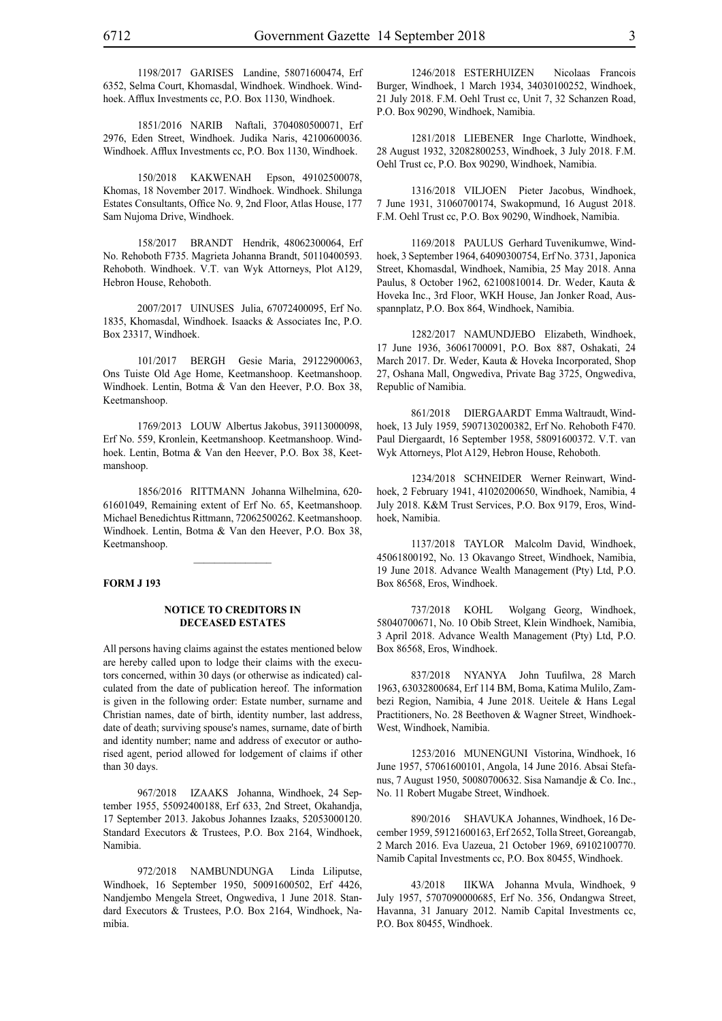1198/2017 GARISES Landine, 58071600474, Erf 6352, Selma Court, Khomasdal, Windhoek. Windhoek. Windhoek. Afflux Investments cc, P.O. Box 1130, Windhoek.

1851/2016 NARIB Naftali, 3704080500071, Erf 2976, Eden Street, Windhoek. Judika Naris, 42100600036. Windhoek. Afflux Investments cc, P.O. Box 1130, Windhoek.

150/2018 KAKWENAH Epson, 49102500078, Khomas, 18 November 2017. Windhoek. Windhoek. Shilunga Estates Consultants, Office No. 9, 2nd Floor, Atlas House, 177 Sam Nujoma Drive, Windhoek.

158/2017 BRANDT Hendrik, 48062300064, Erf No. Rehoboth F735. Magrieta Johanna Brandt, 50110400593. Rehoboth. Windhoek. V.T. van Wyk Attorneys, Plot A129, Hebron House, Rehoboth.

2007/2017 UINUSES Julia, 67072400095, Erf No. 1835, Khomasdal, Windhoek. Isaacks & Associates Inc, P.O. Box 23317, Windhoek.

101/2017 BERGH Gesie Maria, 29122900063, Ons Tuiste Old Age Home, Keetmanshoop. Keetmanshoop. Windhoek. Lentin, Botma & Van den Heever, P.O. Box 38, Keetmanshoop.

1769/2013 LOUW Albertus Jakobus, 39113000098, Erf No. 559, Kronlein, Keetmanshoop. Keetmanshoop. Windhoek. Lentin, Botma & Van den Heever, P.O. Box 38, Keetmanshoop.

1856/2016 RITTMANN Johanna Wilhelmina, 620- 61601049, Remaining extent of Erf No. 65, Keetmanshoop. Michael Benedichtus Rittmann, 72062500262. Keetmanshoop. Windhoek. Lentin, Botma & Van den Heever, P.O. Box 38, Keetmanshoop.

 $\frac{1}{2}$ 

#### **FORM J 193**

#### **NOTICE TO CREDITORS IN DECEASED ESTATES**

All persons having claims against the estates mentioned below are hereby called upon to lodge their claims with the executors concerned, within 30 days (or otherwise as indicated) calculated from the date of publication hereof. The information is given in the following order: Estate number, surname and Christian names, date of birth, identity number, last address, date of death; surviving spouse's names, surname, date of birth and identity number; name and address of executor or authorised agent, period allowed for lodgement of claims if other than 30 days.

967/2018 IZAAKS Johanna, Windhoek, 24 September 1955, 55092400188, Erf 633, 2nd Street, Okahandja, 17 September 2013. Jakobus Johannes Izaaks, 52053000120. Standard Executors & Trustees, P.O. Box 2164, Windhoek, Namibia.

972/2018 NAMBUNDUNGA Linda Liliputse, Windhoek, 16 September 1950, 50091600502, Erf 4426, Nandjembo Mengela Street, Ongwediva, 1 June 2018. Standard Executors & Trustees, P.O. Box 2164, Windhoek, Namibia.

1246/2018 ESTERHUIZEN Nicolaas Francois Burger, Windhoek, 1 March 1934, 34030100252, Windhoek, 21 July 2018. F.M. Oehl Trust cc, Unit 7, 32 Schanzen Road, P.O. Box 90290, Windhoek, Namibia.

1281/2018 LIEBENER Inge Charlotte, Windhoek, 28 August 1932, 32082800253, Windhoek, 3 July 2018. F.M. Oehl Trust cc, P.O. Box 90290, Windhoek, Namibia.

1316/2018 VILJOEN Pieter Jacobus, Windhoek, 7 June 1931, 31060700174, Swakopmund, 16 August 2018. F.M. Oehl Trust cc, P.O. Box 90290, Windhoek, Namibia.

1169/2018 PAULUS Gerhard Tuvenikumwe, Windhoek, 3 September 1964, 64090300754, Erf No. 3731, Japonica Street, Khomasdal, Windhoek, Namibia, 25 May 2018. Anna Paulus, 8 October 1962, 62100810014. Dr. Weder, Kauta & Hoveka Inc., 3rd Floor, WKH House, Jan Jonker Road, Ausspannplatz, P.O. Box 864, Windhoek, Namibia.

1282/2017 NAMUNDJEBO Elizabeth, Windhoek, 17 June 1936, 36061700091, P.O. Box 887, Oshakati, 24 March 2017. Dr. Weder, Kauta & Hoveka Incorporated, Shop 27, Oshana Mall, Ongwediva, Private Bag 3725, Ongwediva, Republic of Namibia.

861/2018 DIERGAARDT Emma Waltraudt, Windhoek, 13 July 1959, 5907130200382, Erf No. Rehoboth F470. Paul Diergaardt, 16 September 1958, 58091600372. V.T. van Wyk Attorneys, Plot A129, Hebron House, Rehoboth.

1234/2018 SCHNEIDER Werner Reinwart, Windhoek, 2 February 1941, 41020200650, Windhoek, Namibia, 4 July 2018. K&M Trust Services, p.o. Box 9179, Eros, Windhoek, Namibia.

1137/2018 TAYLOR Malcolm David, Windhoek, 45061800192, No. 13 Okavango Street, Windhoek, Namibia, 19 June 2018. Advance Wealth Management (Pty) Ltd, P.O. Box 86568, Eros, Windhoek.

737/2018 KOHL Wolgang Georg, Windhoek, 58040700671, No. 10 Obib Street, Klein Windhoek, Namibia, 3 April 2018. Advance Wealth Management (Pty) Ltd, P.O. Box 86568, Eros, Windhoek.

837/2018 NYANYA John Tuufilwa, 28 March 1963, 63032800684, Erf 114 BM, Boma, Katima Mulilo, Zambezi Region, Namibia, 4 June 2018. Ueitele & Hans Legal Practitioners, No. 28 Beethoven & Wagner Street, Windhoek-West, Windhoek, Namibia.

1253/2016 MUNENGUNI Vistorina, Windhoek, 16 June 1957, 57061600101, Angola, 14 June 2016. Absai Stefanus, 7 August 1950, 50080700632. Sisa Namandje & Co. Inc., No. 11 Robert Mugabe Street, Windhoek.

890/2016 SHAVUKA Johannes, Windhoek, 16 December 1959, 59121600163, Erf 2652, Tolla Street, Goreangab, 2 March 2016. Eva Uazeua, 21 October 1969, 69102100770. Namib Capital Investments cc, P.O. Box 80455, Windhoek.

43/2018 IIKWA Johanna Mvula, Windhoek, 9 July 1957, 5707090000685, Erf No. 356, Ondangwa Street, Havanna, 31 January 2012. Namib Capital Investments cc, P.O. Box 80455, Windhoek.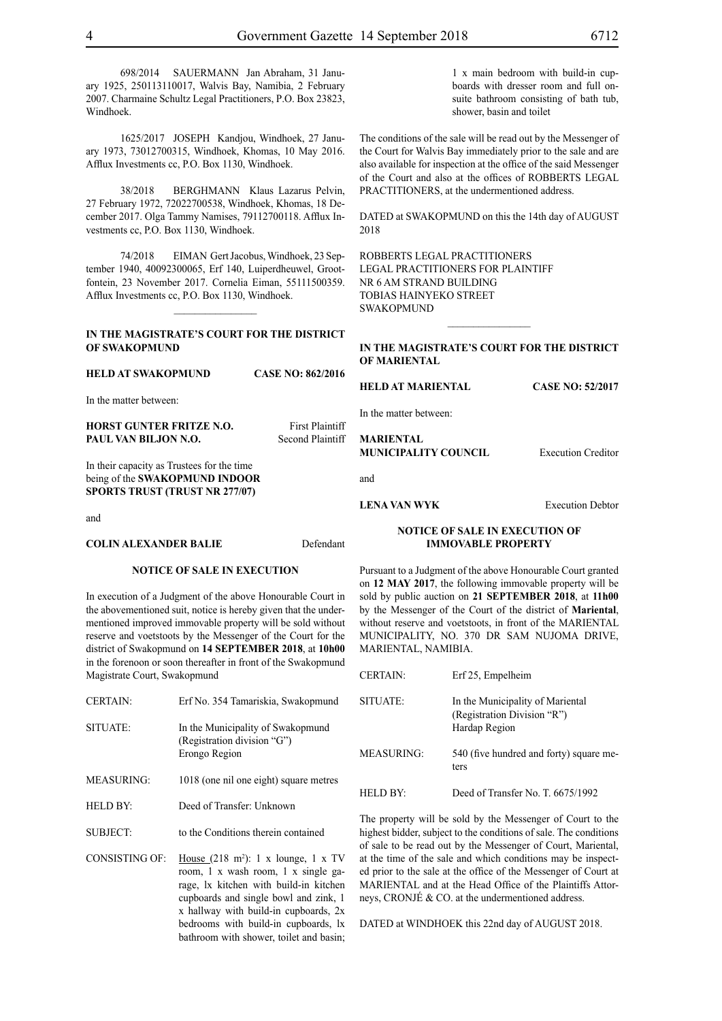698/2014 SAUERMANN Jan Abraham, 31 January 1925, 250113110017, Walvis Bay, Namibia, 2 February 2007. Charmaine Schultz Legal Practitioners, P.O. Box 23823, Windhoek.

1625/2017 JOSEPH Kandjou, Windhoek, 27 January 1973, 73012700315, Windhoek, Khomas, 10 May 2016. Afflux Investments cc, P.O. Box 1130, Windhoek.

38/2018 BERGHMANN Klaus Lazarus Pelvin, 27 February 1972, 72022700538, Windhoek, Khomas, 18 December 2017. Olga Tammy Namises, 79112700118. Afflux Investments cc, P.O. Box 1130, Windhoek.

74/2018 EIMAN Gert Jacobus, Windhoek, 23 September 1940, 40092300065, Erf 140, Luiperdheuwel, Grootfontein, 23 November 2017. Cornelia Eiman, 55111500359. Afflux Investments cc, P.O. Box 1130, Windhoek.

#### **IN THE MAGISTRATE'S COURT FOR THE DISTRICT OF SWAKOPMUND**

 $\frac{1}{2}$ 

**HELD AT SWAKOPMUND CASE NO: 862/2016** In the matter between: **HORST GUNTER FRITZE N.O.** First Plaintiff **PAUL VAN BILJON N.O.** Second Plaintiff In their capacity as Trustees for the time being of the **SWAKOPMUND INDOOR SPORTS TRUST (TRUST NR 277/07)** and **COLIN ALEXANDER BALIE** Defendant **HELD AT MARIENTAL CASE NO: 52/2017** In the matter between: **MARIENTAL MUNICIPALITY COUNCIL** Execution Creditor and **LENA VAN WYK** Execution Debtor **NOTICE OF SALE IN EXECUTION OF IMMOVABLE PROPERTY**

#### **NOTICE OF SALE IN EXECUTION**

In execution of a Judgment of the above Honourable Court in the abovementioned suit, notice is hereby given that the undermentioned improved immovable property will be sold without reserve and voetstoots by the Messenger of the Court for the district of Swakopmund on **14 SEPTEMBER 2018**, at **10h00**  in the forenoon or soon thereafter in front of the Swakopmund Magistrate Court, Swakopmund

- CERTAIN: Erf No. 354 Tamariskia, Swakopmund SITUATE: In the Municipality of Swakopmund (Registration division "G") Erongo Region MEASURING: 1018 (one nil one eight) square metres
- HELD BY: Deed of Transfer: Unknown
- SUBJECT: to the Conditions therein contained
- $CONSISTING OF$ House  $(218 \text{ m}^2)$ : 1 x lounge, 1 x TV room, 1 x wash room, 1 x single garage, lx kitchen with build-in kitchen cupboards and single bowl and zink, 1 x hallway with build-in cupboards, 2x bedrooms with build-in cupboards, lx bathroom with shower, toilet and basin;

1 x main bedroom with build-in cupboards with dresser room and full onsuite bathroom consisting of bath tub, shower, basin and toilet

The conditions of the sale will be read out by the Messenger of the Court for Walvis Bay immediately prior to the sale and are also available for inspection at the office of the said Messenger of the Court and also at the offices of ROBBERTS LEGAL PRACTITIONERS, at the undermentioned address.

DATED at SWAKOPMUND on this the 14th day of AUGUST 2018

ROBBERTS LEGAL PRACTITIONERS Legal Practitioners for Plaintiff Nr 6 Am Strand Building Tobias Hainyeko Street **SWAKOPMUND** 

#### **IN THE MAGISTRATE'S COURT FOR THE DISTRICT OF MARIENTAL**

Pursuant to a Judgment of the above Honourable Court granted on **12 MAY 2017**, the following immovable property will be sold by public auction on **21 SEPTEMBER 2018**, at **11h00** by the Messenger of the Court of the district of **Mariental**, without reserve and voetstoots, in front of the MARIENTAL MUNICIPALITY, NO. 370 DR SAM NUJOMA DRIVE, MARIENTAL, NAMIBIA.

| <b>CERTAIN:</b>   | Erf 25, Empelheim                                                                |
|-------------------|----------------------------------------------------------------------------------|
| SITUATE:          | In the Municipality of Mariental<br>(Registration Division "R")<br>Hardap Region |
| <b>MEASURING:</b> | 540 (five hundred and forty) square me-<br>ters                                  |
| HELD BY:          | Deed of Transfer No. T. 6675/1992                                                |

The property will be sold by the Messenger of Court to the highest bidder, subject to the conditions of sale. The conditions of sale to be read out by the Messenger of Court, Mariental, at the time of the sale and which conditions may be inspected prior to the sale at the office of the Messenger of Court at MARIENTAL and at the Head Office of the Plaintiffs Attorneys, CRONJÉ & CO. at the undermentioned address.

DATED at WINDHOEK this 22nd day of AUGUST 2018.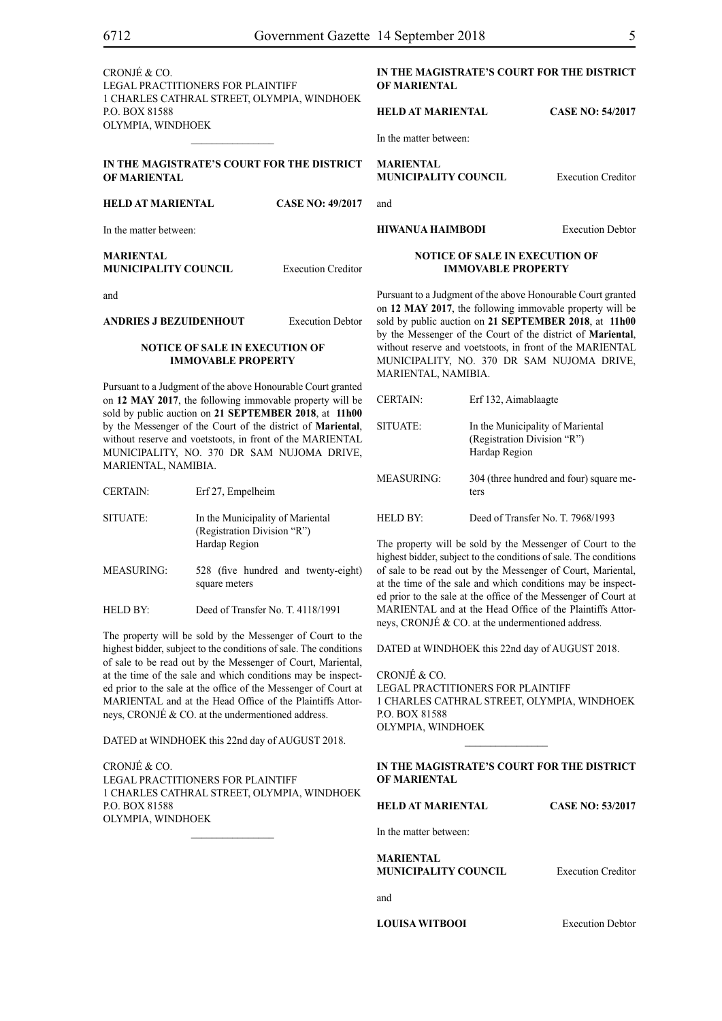CRONJÉ & CO. LEGAL PRACTITIONERS FOR Plaintiff 1 CHARLES CATHRAL STREET, OLYMPIA, WINDHOEK P.O. BOX 81588 OLYMPIA, WINDHOEK

#### **IN THE MAGISTRATE'S COURT FOR THE DISTRICT OF MARIENTAL**

 $\mathcal{L}=\mathcal{L}^{\mathcal{L}}$ 

**HELD AT MARIENTAL CASE NO: 49/2017**

In the matter between:

**MARIENTAL MUNICIPALITY COUNCIL** Execution Creditor

and

#### **ANDRIES J BEZUIDENHOUT** Execution Debtor

#### **NOTICE OF SALE IN EXECUTION OF IMMOVABLE PROPERTY**

Pursuant to a Judgment of the above Honourable Court granted on **12 MAY 2017**, the following immovable property will be sold by public auction on **21 SEPTEMBER 2018**, at **11h00** by the Messenger of the Court of the district of **Mariental**, without reserve and voetstoots, in front of the MARIENTAL MUNICIPALITY, NO. 370 DR SAM NUJOMA DRIVE, MARIENTAL, NAMIBIA.

| SITUATE:          | In the Municipality of Mariental<br>(Registration Division "R")<br>Hardap Region |
|-------------------|----------------------------------------------------------------------------------|
| <b>MEASURING:</b> | 528 (five hundred and twenty-eight)<br>square meters                             |

CERTAIN: Erf 27, Empelheim

HELD BY: Deed of Transfer No. T. 4118/1991

The property will be sold by the Messenger of Court to the highest bidder, subject to the conditions of sale. The conditions of sale to be read out by the Messenger of Court, Mariental, at the time of the sale and which conditions may be inspected prior to the sale at the office of the Messenger of Court at MARIENTAL and at the Head Office of the Plaintiffs Attorneys, CRONJÉ & CO. at the undermentioned address.

DATED at WINDHOEK this 22nd day of AUGUST 2018.

CRONJÉ & CO. LEGAL PRACTITIONERS FOR Plaintiff 1 CHARLES CATHRAL STREET, OLYMPIA, WINDHOEK P.O. BOX 81588 OLYMPIA, WINDHOEK

**IN THE MAGISTRATE'S COURT FOR THE DISTRICT OF MARIENTAL** 

#### **HELD AT MARIENTAL CASE NO: 54/2017**

In the matter between:

**MARIENTAL MUNICIPALITY COUNCIL** Execution Creditor

and

**HIWANUA HAIMBODI** Execution Debtor

#### **NOTICE OF SALE IN EXECUTION OF IMMOVABLE PROPERTY**

Pursuant to a Judgment of the above Honourable Court granted on **12 MAY 2017**, the following immovable property will be sold by public auction on **21 SEPTEMBER 2018**, at **11h00** by the Messenger of the Court of the district of **Mariental**, without reserve and voetstoots, in front of the MARIENTAL MUNICIPALITY, NO. 370 DR SAM NUJOMA DRIVE, MARIENTAL, NAMIBIA.

| <b>CERTAIN:</b>   | Erf 132, Aimablaagte                                                             |
|-------------------|----------------------------------------------------------------------------------|
| SITUATE:          | In the Municipality of Mariental<br>(Registration Division "R")<br>Hardap Region |
| <b>MEASURING:</b> | 304 (three hundred and four) square me-<br>ters                                  |
| HELD BY:          | Deed of Transfer No. T. 7968/1993                                                |

The property will be sold by the Messenger of Court to the highest bidder, subject to the conditions of sale. The conditions of sale to be read out by the Messenger of Court, Mariental, at the time of the sale and which conditions may be inspected prior to the sale at the office of the Messenger of Court at MARIENTAL and at the Head Office of the Plaintiffs Attorneys, CRONJÉ & CO. at the undermentioned address.

DATED at WINDHOEK this 22nd day of AUGUST 2018.

CRONJÉ & CO. LEGAL PRACTITIONERS FOR Plaintiff 1 CHARLES CATHRAL STREET, OLYMPIA, WINDHOEK P.O. BOX 81588 OLYMPIA, WINDHOEK

**IN THE MAGISTRATE'S COURT FOR THE DISTRICT OF MARIENTAL** 

 $\frac{1}{2}$ 

**HELD AT MARIENTAL CASE NO: 53/2017**

In the matter between:

**MARIENTAL MUNICIPALITY COUNCIL** Execution Creditor

and

**LOUISA WITBOOI** Execution Debtor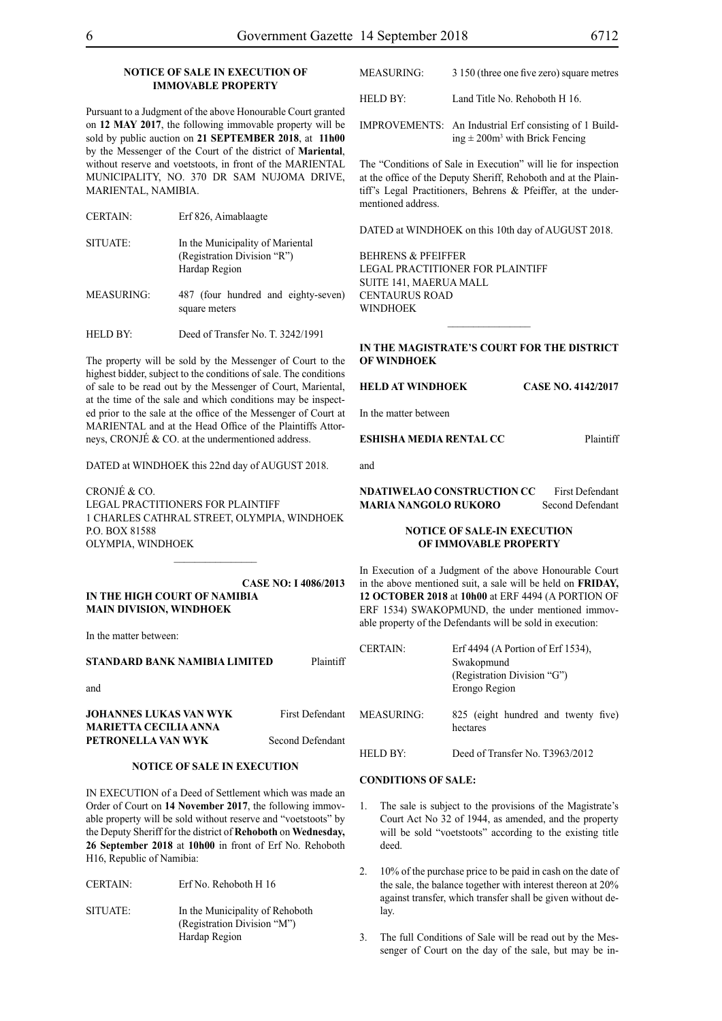#### **NOTICE OF SALE IN EXECUTION OF IMMOVABLE PROPERTY**

Pursuant to a Judgment of the above Honourable Court granted on **12 MAY 2017**, the following immovable property will be sold by public auction on **21 SEPTEMBER 2018**, at **11h00** by the Messenger of the Court of the district of **Mariental**, without reserve and voetstoots, in front of the MARIENTAL MUNICIPALITY, NO. 370 DR SAM NUJOMA DRIVE, MARIENTAL, NAMIBIA.

| SITUATE:          | In the Municipality of Mariental<br>(Registration Division "R")<br>Hardap Region |
|-------------------|----------------------------------------------------------------------------------|
| <b>MEASURING:</b> | 487 (four hundred and eighty-seven)<br>square meters                             |

HELD BY: Deed of Transfer No. T. 3242/1991

The property will be sold by the Messenger of Court to the highest bidder, subject to the conditions of sale. The conditions of sale to be read out by the Messenger of Court, Mariental, at the time of the sale and which conditions may be inspected prior to the sale at the office of the Messenger of Court at MARIENTAL and at the Head Office of the Plaintiffs Attorneys, CRONJÉ & CO. at the undermentioned address.

DATED at WINDHOEK this 22nd day of AUGUST 2018.

CRONJÉ & CO. LEGAL PRACTITIONERS FOR Plaintiff 1 CHARLES CATHRAL STREET, OLYMPIA, WINDHOEK P.O. BOX 81588 OLYMPIA, WINDHOEK

 $\frac{1}{2}$ 

#### **CASE NO: I 4086/2013 IN THE HIGH COURT OF NAMIBIA MAIN DIVISION, WINDHOEK**

In the matter between:

#### **STANDARD BANK NAMIBIA LIMITED** Plaintiff

and

#### **JOHANNES LUKAS VAN WYK** First Defendant **MARIETTA CECILIA ANNA PETRONELLA VAN WYK** Second Defendant

#### **NOTICE OF SALE IN EXECUTION**

IN EXECUTION of a Deed of Settlement which was made an Order of Court on **14 November 2017**, the following immovable property will be sold without reserve and "voetstoots" by the Deputy Sheriff for the district of **Rehoboth** on **Wednesday, 26 September 2018** at **10h00** in front of Erf No. Rehoboth H16, Republic of Namibia:

| <b>CERTAIN:</b> | Erf No. Rehoboth H 16                                                           |
|-----------------|---------------------------------------------------------------------------------|
| SITUATE:        | In the Municipality of Rehoboth<br>(Registration Division "M")<br>Hardap Region |

| MEASURING: | 3 150 (three one five zero) square metres |
|------------|-------------------------------------------|
|            |                                           |

HELD BY: Land Title No. Rehoboth H 16.

IMPROVEMENTS: An Industrial Erf consisting of 1 Building  $\pm 200$ m<sup>3</sup> with Brick Fencing

The "Conditions of Sale in Execution" will lie for inspection at the office of the Deputy Sheriff, Rehoboth and at the Plaintiff's Legal Practitioners, Behrens & Pfeiffer, at the undermentioned address.

DATED at WINDHOEK on this 10th day of AUGUST 2018.

BEHRENS & PFEIFFER LEGAL PRACTITIONER FOR Plaintiff SUITE 141, MAERUA MALL CENTAURUS ROAD **WINDHOEK** 

#### **IN THE MAGISTRATE'S COURT FOR THE DISTRICT OF WINDHOEK**

#### **HELD AT WINDHOEK CASE NO. 4142/2017**

In the matter between

#### **ESHISHA MEDIA RENTAL CC** Plaintiff

and

**NDATIWELAO CONSTRUCTION CC** First Defendant **MARIA NANGOLO RUKORO** Second Defendant

#### **NOTICE OF SALE-IN EXECUTION OF IMMOVABLE PROPERTY**

In Execution of a Judgment of the above Honourable Court in the above mentioned suit, a sale will be held on **FRIDAY, 12 OCTOBER 2018** at **10h00** at ERF 4494 (A PORTION OF ERF 1534) SWAKOPMUND, the under mentioned immovable property of the Defendants will be sold in execution:

| <b>CERTAIN:</b> | Erf 4494 (A Portion of Erf 1534).<br>Swakopmund<br>(Registration Division "G")<br>Erongo Region |
|-----------------|-------------------------------------------------------------------------------------------------|
| MEASURING:      | 825 (eight hundred and twenty five)<br>hectares                                                 |
| HELD BY:        | Deed of Transfer No. T3963/2012                                                                 |

#### **CONDITIONS OF SALE:**

- 1. The sale is subject to the provisions of the Magistrate's Court Act No 32 of 1944, as amended, and the property will be sold "voetstoots" according to the existing title deed.
- 2. 10% of the purchase price to be paid in cash on the date of the sale, the balance together with interest thereon at 20% against transfer, which transfer shall be given without delay.
- 3. The full Conditions of Sale will be read out by the Messenger of Court on the day of the sale, but may be in-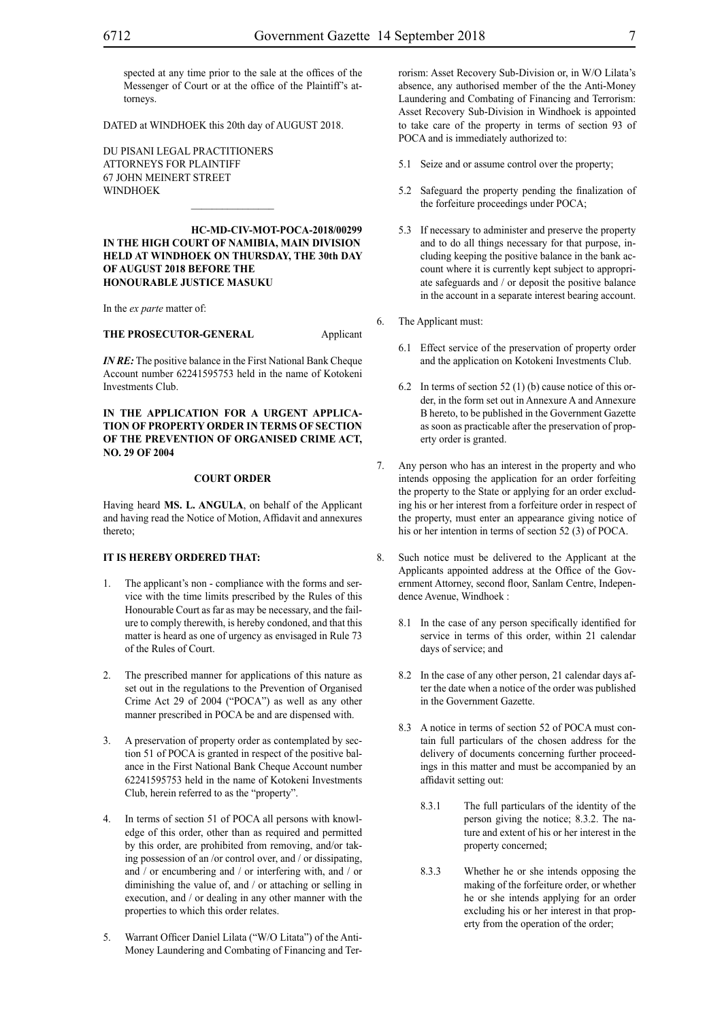spected at any time prior to the sale at the offices of the Messenger of Court or at the office of the Plaintiff's attorneys.

DATED at WINDHOEK this 20th day of AUGUST 2018.

Du Pisani Legal Practitioners Attorneys for Plaintiff 67 John Meinert Street **WINDHOEK** 

**HC-MD-CIV-MOT-POCA-2018/00299 IN THE HIGH COURT OF NAMIBIA, MAIN DIVISION HELD AT WINDHOEK ON THURSDAY, THE 30th DAY OF AUGUST 2018 BEFORE THE HONOURABLE JUSTICE MASUKU**

 $\mathcal{L}=\mathcal{L}^{\mathcal{L}}$ 

In the *ex parte* matter of:

**THE PROSECUTOR-GENERAL** Applicant

*IN RE:* The positive balance in the First National Bank Cheque Account number 62241595753 held in the name of Kotokeni Investments Club.

#### **IN THE APPLICATION FOR A URGENT APPLICA-TION OF PROPERTY ORDER IN TERMS OF SECTION OF THE PREVENTION OF ORGANISED CRIME ACT, NO. 29 OF 2004**

#### **COURT ORDER**

Having heard **MS. L. ANGULA**, on behalf of the Applicant and having read the Notice of Motion, Affidavit and annexures thereto;

#### **IT IS HEREBY ORDERED THAT:**

- The applicant's non compliance with the forms and service with the time limits prescribed by the Rules of this Honourable Court as far as may be necessary, and the failure to comply therewith, is hereby condoned, and that this matter is heard as one of urgency as envisaged in Rule 73 of the Rules of Court.
- 2. The prescribed manner for applications of this nature as set out in the regulations to the Prevention of Organised Crime Act 29 of 2004 ("POCA") as well as any other manner prescribed in POCA be and are dispensed with.
- 3. A preservation of property order as contemplated by section 51 of POCA is granted in respect of the positive balance in the First National Bank Cheque Account number 62241595753 held in the name of Kotokeni Investments Club, herein referred to as the "property".
- 4. In terms of section 51 of POCA all persons with knowledge of this order, other than as required and permitted by this order, are prohibited from removing, and/or taking possession of an /or control over, and / or dissipating, and / or encumbering and / or interfering with, and / or diminishing the value of, and / or attaching or selling in execution, and / or dealing in any other manner with the properties to which this order relates.
- 5. Warrant Officer Daniel Lilata ("W/O Litata") of the Anti-Money Laundering and Combating of Financing and Ter-

rorism: Asset Recovery Sub-Division or, in W/O Lilata's absence, any authorised member of the the Anti-Money Laundering and Combating of Financing and Terrorism: Asset Recovery Sub-Division in Windhoek is appointed to take care of the property in terms of section 93 of POCA and is immediately authorized to:

- 5.1 Seize and or assume control over the property;
- 5.2 Safeguard the property pending the finalization of the forfeiture proceedings under POCA;
- 5.3 If necessary to administer and preserve the property and to do all things necessary for that purpose, including keeping the positive balance in the bank account where it is currently kept subject to appropriate safeguards and / or deposit the positive balance in the account in a separate interest bearing account.
- 6. The Applicant must:
	- 6.1 Effect service of the preservation of property order and the application on Kotokeni Investments Club.
	- 6.2 In terms of section 52 (1) (b) cause notice of this order, in the form set out in Annexure A and Annexure B hereto, to be published in the Government Gazette as soon as practicable after the preservation of property order is granted.
- 7. Any person who has an interest in the property and who intends opposing the application for an order forfeiting the property to the State or applying for an order excluding his or her interest from a forfeiture order in respect of the property, must enter an appearance giving notice of his or her intention in terms of section 52 (3) of POCA.
- 8. Such notice must be delivered to the Applicant at the Applicants appointed address at the Office of the Government Attorney, second floor, Sanlam Centre, Independence Avenue, Windhoek :
	- 8.1 In the case of any person specifically identified for service in terms of this order, within 21 calendar days of service; and
	- 8.2 In the case of any other person, 21 calendar days after the date when a notice of the order was published in the Government Gazette.
	- 8.3 A notice in terms of section 52 of POCA must contain full particulars of the chosen address for the delivery of documents concerning further proceedings in this matter and must be accompanied by an affidavit setting out:
		- 8.3.1 The full particulars of the identity of the person giving the notice; 8.3.2. The nature and extent of his or her interest in the property concerned;
		- 8.3.3 Whether he or she intends opposing the making of the forfeiture order, or whether he or she intends applying for an order excluding his or her interest in that property from the operation of the order;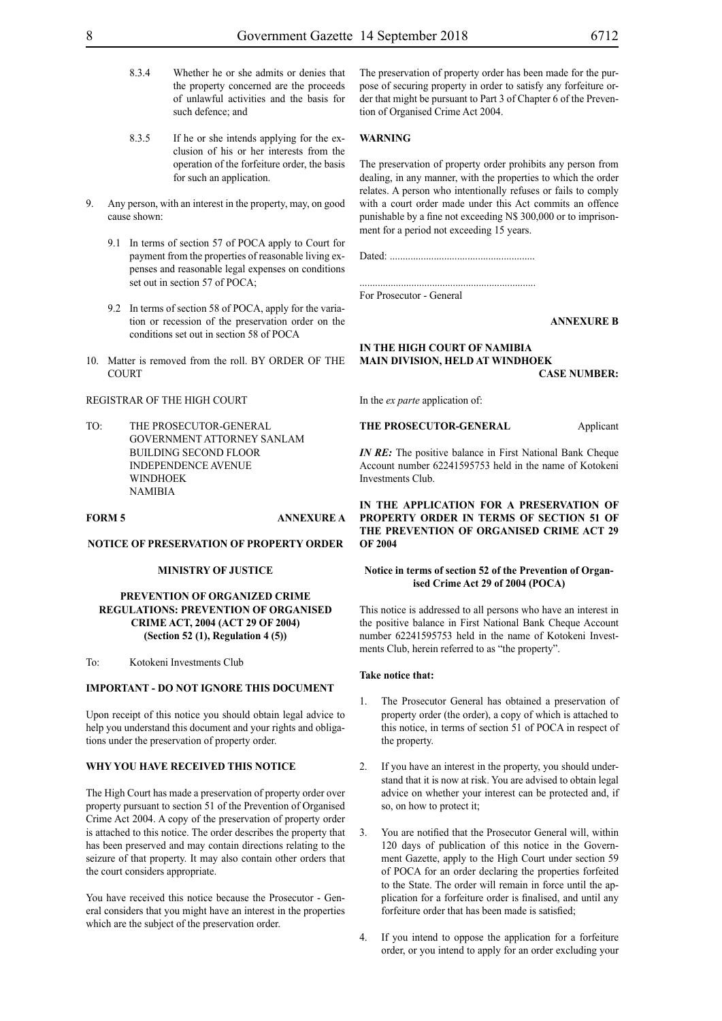- 8.3.4 Whether he or she admits or denies that the property concerned are the proceeds of unlawful activities and the basis for such defence; and
- 8.3.5 If he or she intends applying for the exclusion of his or her interests from the operation of the forfeiture order, the basis for such an application.
- 9. Any person, with an interest in the property, may, on good cause shown:
	- 9.1 In terms of section 57 of POCA apply to Court for payment from the properties of reasonable living expenses and reasonable legal expenses on conditions set out in section 57 of POCA;
	- 9.2 In terms of section 58 of POCA, apply for the variation or recession of the preservation order on the conditions set out in section 58 of POCA
- 10. Matter is removed from the roll. BY ORDER OF THE **COURT**

#### REGISTRAR OF THE HIGH COURT

TO: THE PROSECUTOR-GENERAL GOVERNMENT ATTORNEY SANLAM BUILDING SECOND FLOOR INDEPENDENCE AVENUE WINDHOEK **NAMIRIA** 

#### **FORM 5 ANNEXURE A**

#### **NOTICE OF PRESERVATION OF PROPERTY ORDER**

#### **MINISTRY OF JUSTICE**

#### **PREVENTION OF ORGANIZED CRIME REGULATIONS: PREVENTION OF ORGANISED CRIME ACT, 2004 (ACT 29 OF 2004) (Section 52 (1), Regulation 4 (5))**

To: Kotokeni Investments Club

#### **IMPORTANT - DO NOT IGNORE THIS DOCUMENT**

Upon receipt of this notice you should obtain legal advice to help you understand this document and your rights and obligations under the preservation of property order.

#### **WHY YOU HAVE RECEIVED THIS NOTICE**

The High Court has made a preservation of property order over property pursuant to section 51 of the Prevention of Organised Crime Act 2004. A copy of the preservation of property order is attached to this notice. The order describes the property that has been preserved and may contain directions relating to the seizure of that property. It may also contain other orders that the court considers appropriate.

You have received this notice because the Prosecutor - General considers that you might have an interest in the properties which are the subject of the preservation order.

The preservation of property order has been made for the purpose of securing property in order to satisfy any forfeiture order that might be pursuant to Part 3 of Chapter 6 of the Prevention of Organised Crime Act 2004.

#### **WARNING**

The preservation of property order prohibits any person from dealing, in any manner, with the properties to which the order relates. A person who intentionally refuses or fails to comply with a court order made under this Act commits an offence punishable by a fine not exceeding N\$ 300,000 or to imprisonment for a period not exceeding 15 years.

Dated: ........................................................

.................................................................... For Prosecutor - General

#### **ANNEXURE B**

#### **IN THE HIGH COURT OF NAMIBIA MAIN DIVISION, HELD AT WINDHOEK CASE NUMBER:**

In the *ex parte* application of:

**THE PROSECUTOR-GENERAL** Applicant

*IN RE:* The positive balance in First National Bank Cheque Account number 62241595753 held in the name of Kotokeni Investments Club.

**IN THE APPLICATION FOR A PRESERVATION OF PROPERTY ORDER IN TERMS OF SECTION 51 OF THE PREVENTION OF ORGANISED CRIME ACT 29 OF 2004**

#### **Notice in terms of section 52 of the Prevention of Organised Crime Act 29 of 2004 (POCA)**

This notice is addressed to all persons who have an interest in the positive balance in First National Bank Cheque Account number 62241595753 held in the name of Kotokeni Investments Club, herein referred to as "the property".

#### **Take notice that:**

- 1. The Prosecutor General has obtained a preservation of property order (the order), a copy of which is attached to this notice, in terms of section 51 of POCA in respect of the property.
- 2. If you have an interest in the property, you should understand that it is now at risk. You are advised to obtain legal advice on whether your interest can be protected and, if so, on how to protect it;
- 3. You are notified that the Prosecutor General will, within 120 days of publication of this notice in the Government Gazette, apply to the High Court under section 59 of POCA for an order declaring the properties forfeited to the State. The order will remain in force until the application for a forfeiture order is finalised, and until any forfeiture order that has been made is satisfied;
- 4. If you intend to oppose the application for a forfeiture order, or you intend to apply for an order excluding your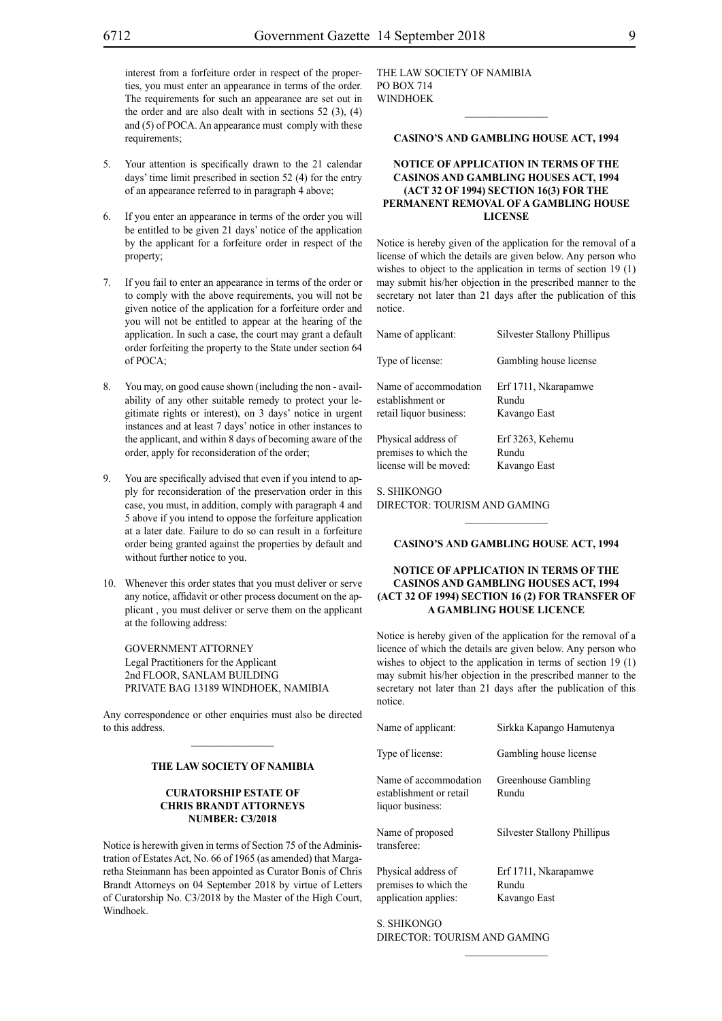interest from a forfeiture order in respect of the properties, you must enter an appearance in terms of the order. The requirements for such an appearance are set out in the order and are also dealt with in sections  $52$  (3), (4) and (5) of POCA. An appearance must comply with these requirements;

- 5. Your attention is specifically drawn to the 21 calendar days' time limit prescribed in section 52 (4) for the entry of an appearance referred to in paragraph 4 above;
- 6. If you enter an appearance in terms of the order you will be entitled to be given 21 days' notice of the application by the applicant for a forfeiture order in respect of the property;
- If you fail to enter an appearance in terms of the order or to comply with the above requirements, you will not be given notice of the application for a forfeiture order and you will not be entitled to appear at the hearing of the application. In such a case, the court may grant a default order forfeiting the property to the State under section 64 of POCA;
- 8. You may, on good cause shown (including the non availability of any other suitable remedy to protect your legitimate rights or interest), on 3 days' notice in urgent instances and at least 7 days' notice in other instances to the applicant, and within 8 days of becoming aware of the order, apply for reconsideration of the order;
- 9. You are specifically advised that even if you intend to apply for reconsideration of the preservation order in this case, you must, in addition, comply with paragraph 4 and 5 above if you intend to oppose the forfeiture application at a later date. Failure to do so can result in a forfeiture order being granted against the properties by default and without further notice to you.
- 10. Whenever this order states that you must deliver or serve any notice, affidavit or other process document on the applicant , you must deliver or serve them on the applicant at the following address:

GOVERNMENT ATTORNEY Legal Practitioners for the Applicant 2nd FLOOR, SANLAM BUILDING PRIVATE BAG 13189 WINDHOEK, NAMIBIA

Any correspondence or other enquiries must also be directed to this address.

#### **THE LAW SOCIETY OF NAMIBIA**

#### **CURATORSHIP ESTATE OF CHRIS BRANDT ATTORNEYS NUMBER: C3/2018**

Notice is herewith given in terms of Section 75 of the Administration of Estates Act, No. 66 of 1965 (as amended) that Margaretha Steinmann has been appointed as Curator Bonis of Chris Brandt Attorneys on 04 September 2018 by virtue of Letters of Curatorship No. C3/2018 by the Master of the High Court, Windhoek.

THE LAW SOCIETY OF NAMIBIA PO BOX 714 WINDHOEK

#### **CASINO'S AND GAMBLING HOUSE ACT, 1994**

 $\frac{1}{2}$ 

#### **NOTICE OF APPLICATION IN TERMS OF THE CASINOS AND GAMBLING HOUSES ACT, 1994 (ACT 32 OF 1994) SECTION 16(3) FOR THE PERMANENT REMOVAL OF A GAMBLING HOUSE LICENSE**

Notice is hereby given of the application for the removal of a license of which the details are given below. Any person who wishes to object to the application in terms of section 19 (1) may submit his/her objection in the prescribed manner to the secretary not later than 21 days after the publication of this notice.

| Name of applicant:      | <b>Silvester Stallony Phillipus</b> |
|-------------------------|-------------------------------------|
| Type of license:        | Gambling house license              |
| Name of accommodation   | Erf 1711, Nkarapamwe                |
| establishment or        | Rundu                               |
| retail liquor business: | Kavango East                        |
| Physical address of     | Erf 3263, Kehemu                    |
| premises to which the   | Rundu                               |
| license will be moved:  | Kavango East                        |

#### S. Shikongo

Director: Tourism and Gaming

#### **CASINO'S AND GAMBLING HOUSE ACT, 1994**

#### **NOTICE OF APPLICATION IN TERMS OF THE CASINOS AND GAMBLING HOUSES ACT, 1994 (ACT 32 OF 1994) SECTION 16 (2) FOR TRANSFER OF A GAMBLING HOUSE LICENCE**

Notice is hereby given of the application for the removal of a licence of which the details are given below. Any person who wishes to object to the application in terms of section 19 (1) may submit his/her objection in the prescribed manner to the secretary not later than 21 days after the publication of this notice.

| Name of applicant:                                                   | Sirkka Kapango Hamutenya                      |
|----------------------------------------------------------------------|-----------------------------------------------|
| Type of license:                                                     | Gambling house license                        |
| Name of accommodation<br>establishment or retail<br>liquor business: | Greenhouse Gambling<br>Rundu                  |
| Name of proposed<br>transferee:                                      | Silvester Stallony Phillipus                  |
| Physical address of<br>premises to which the<br>application applies: | Erf 1711, Nkarapamwe<br>Rundu<br>Kavango East |
| S SHIKONGO                                                           |                                               |

 $\frac{1}{2}$ 

Director: Tourism and Gaming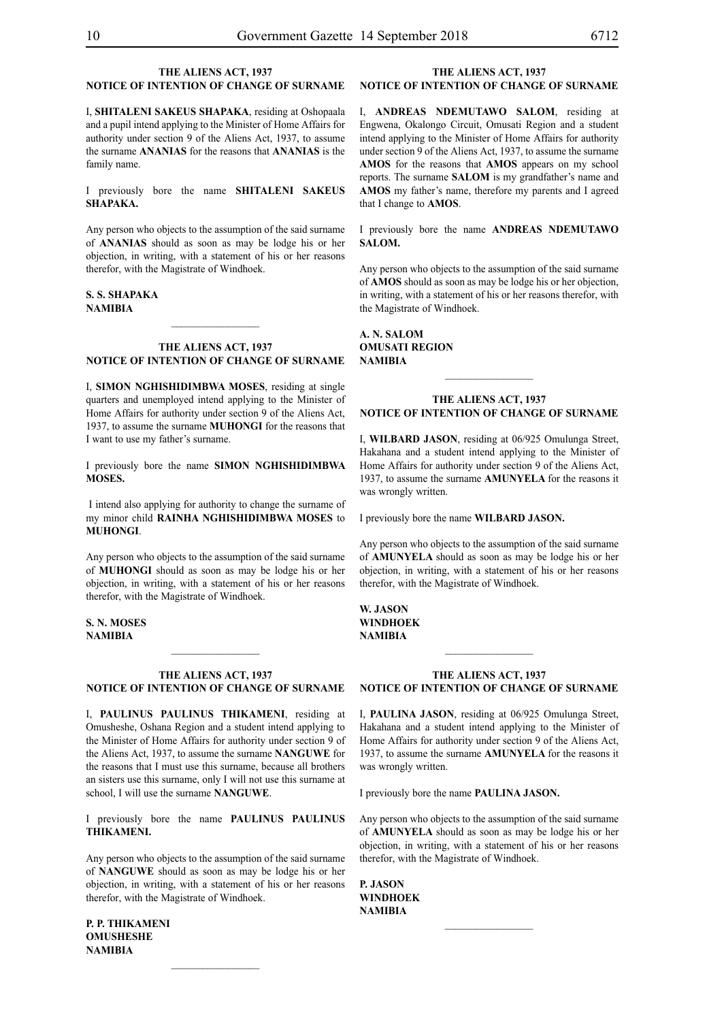#### **THE ALIENS ACT, 1937 NOTICE OF INTENTION OF CHANGE OF SURNAME**

I, **shitaleni sakeus shapaka**, residing at Oshopaala and a pupil intend applying to the Minister of Home Affairs for authority under section 9 of the Aliens Act, 1937, to assume the surname **ananias** for the reasons that **ANANIAS** is the family name.

I previously bore the name **shitaleni sakeus shapaka.**

Any person who objects to the assumption of the said surname of **ANANIAS** should as soon as may be lodge his or her objection, in writing, with a statement of his or her reasons therefor, with the Magistrate of Windhoek.

#### **s. s. shapaka NAMIBIA**

#### **THE ALIENS ACT, 1937 NOTICE OF INTENTION OF CHANGE OF SURNAME**

 $\frac{1}{2}$ 

I, **simon nghishidimbwa MOSES**, residing at single quarters and unemployed intend applying to the Minister of Home Affairs for authority under section 9 of the Aliens Act, 1937, to assume the surname **muhongi** for the reasons that I want to use my father's surname.

I previously bore the name **simon nghishidimbwa MOSES.**

 I intend also applying for authority to change the surname of my minor child **RAINHA NGHISHIDIMBWA MOSES** to **MUHONGI**.

Any person who objects to the assumption of the said surname of **muhongi** should as soon as may be lodge his or her objection, in writing, with a statement of his or her reasons therefor, with the Magistrate of Windhoek.

**s. n. MOSES NAMIBIA**

#### **THE ALIENS ACT, 1937 NOTICE OF INTENTION OF CHANGE OF SURNAME**

I, **paulinus paulinus thikameni**, residing at Omusheshe, Oshana Region and a student intend applying to the Minister of Home Affairs for authority under section 9 of the Aliens Act, 1937, to assume the surname **nanguwe** for the reasons that I must use this surname, because all brothers an sisters use this surname, only I will not use this surname at school, I will use the surname **NANGUWE**.

I previously bore the name **paulinus paulinus thikameni.**

Any person who objects to the assumption of the said surname of **nanguwe** should as soon as may be lodge his or her objection, in writing, with a statement of his or her reasons therefor, with the Magistrate of Windhoek.

 $\frac{1}{2}$ 

**p. p. thikameni omusheshe NAMIBIA**

#### **THE ALIENS ACT, 1937 NOTICE OF INTENTION OF CHANGE OF SURNAME**

I, **andreas ndemutawo salom**, residing at Engwena, Okalongo Circuit, Omusati Region and a student intend applying to the Minister of Home Affairs for authority under section 9 of the Aliens Act, 1937, to assume the surname **amos** for the reasons that **AMOS** appears on my school reports. The surname **SALOM** is my grandfather's name and **AMOS** my father's name, therefore my parents and I agreed that I change to **AMOS**.

I previously bore the name **ANDREAS NDEMUTAWO salom.**

Any person who objects to the assumption of the said surname of **AMOS** should as soon as may be lodge his or her objection, in writing, with a statement of his or her reasons therefor, with the Magistrate of Windhoek.

**a. n. salom omusati region NAMIBIA**

#### **THE ALIENS ACT, 1937 NOTICE OF INTENTION OF CHANGE OF SURNAME**

 $\frac{1}{2}$ 

I, **WILBARD jason**, residing at 06/925 Omulunga Street, Hakahana and a student intend applying to the Minister of Home Affairs for authority under section 9 of the Aliens Act, 1937, to assume the surname **amunyela** for the reasons it was wrongly written.

I previously bore the name **WILBARD jason.**

Any person who objects to the assumption of the said surname of **amunyela** should as soon as may be lodge his or her objection, in writing, with a statement of his or her reasons therefor, with the Magistrate of Windhoek.

**W. jason windhoek NAMIBIA**

#### **THE ALIENS ACT, 1937 NOTICE OF INTENTION OF CHANGE OF SURNAME**

I, **paulina jason**, residing at 06/925 Omulunga Street, Hakahana and a student intend applying to the Minister of Home Affairs for authority under section 9 of the Aliens Act, 1937, to assume the surname **amunyela** for the reasons it was wrongly written.

I previously bore the name **paulina jason.**

Any person who objects to the assumption of the said surname of **amunyela** should as soon as may be lodge his or her objection, in writing, with a statement of his or her reasons therefor, with the Magistrate of Windhoek.

 $\frac{1}{2}$ 

**p. jason windhoek NAMIBIA**